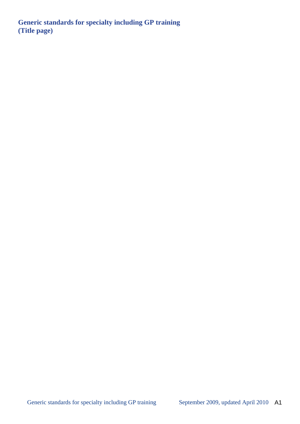**Generic standards for specialty including GP training (Title page)**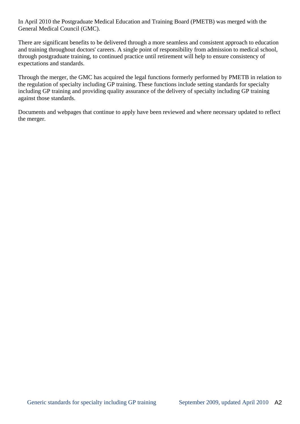In April 2010 the Postgraduate Medical Education and Training Board (PMETB) was merged with the General Medical Council (GMC).

There are significant benefits to be delivered through a more seamless and consistent approach to education and training throughout doctors' careers. A single point of responsibility from admission to medical school, through postgraduate training, to continued practice until retirement will help to ensure consistency of expectations and standards.

Through the merger, the GMC has acquired the legal functions formerly performed by PMETB in relation to the regulation of specialty including GP training. These functions include setting standards for specialty including GP training and providing quality assurance of the delivery of specialty including GP training against those standards.

Documents and webpages that continue to apply have been reviewed and where necessary updated to reflect the merger.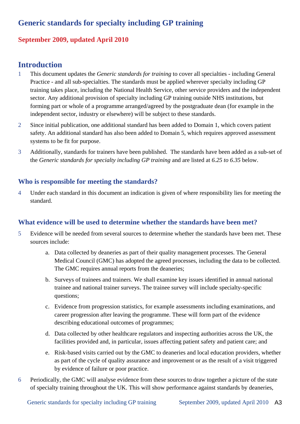# **Generic standards for specialty including GP training**

# **September 2009, updated April 2010**

# **Introduction**

- 1 This document updates the *Generic standards for training* to cover all specialties including General Practice - and all sub-specialties. The standards must be applied wherever specialty including GP training takes place, including the National Health Service, other service providers and the independent sector. Any additional provision of specialty including GP training outside NHS institutions, but forming part or whole of a programme arranged/agreed by the postgraduate dean (for example in the independent sector, industry or elsewhere) will be subject to these standards.
- 2 Since initial publication, one additional standard has been added to Domain 1, which covers patient safety. An additional standard has also been added to Domain 5, which requires approved assessment systems to be fit for purpose.
- 3 Additionally, standards for trainers have been published. The standards have been added as a sub-set of the *Generic standards for specialty including GP training* and are listed at *6.25 to 6.35* below.

# **Who is responsible for meeting the standards?**

4 Under each standard in this document an indication is given of where responsibility lies for meeting the standard.

# **What evidence will be used to determine whether the standards have been met?**

- 5 Evidence will be needed from several sources to determine whether the standards have been met. These sources include:
	- a. Data collected by deaneries as part of their quality management processes. The General Medical Council (GMC) has adopted the agreed processes, including the data to be collected. The GMC requires annual reports from the deaneries;
	- b. Surveys of trainees and trainers. We shall examine key issues identified in annual national trainee and national trainer surveys. The trainee survey will include specialty-specific questions;
	- c. Evidence from progression statistics, for example assessments including examinations, and career progression after leaving the programme. These will form part of the evidence describing educational outcomes of programmes;
	- d. Data collected by other healthcare regulators and inspecting authorities across the UK, the facilities provided and, in particular, issues affecting patient safety and patient care; and
	- e. Risk-based visits carried out by the GMC to deaneries and local education providers, whether as part of the cycle of quality assurance and improvement or as the result of a visit triggered by evidence of failure or poor practice.
- 6 Periodically, the GMC will analyse evidence from these sources to draw together a picture of the state of specialty training throughout the UK. This will show performance against standards by deaneries,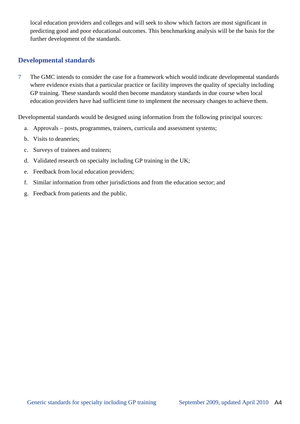local education providers and colleges and will seek to show which factors are most significant in predicting good and poor educational outcomes. This benchmarking analysis will be the basis for the further development of the standards.

# **Developmental standards**

7The GMC intends to consider the case for a framework which would indicate developmental standards where evidence exists that a particular practice or facility improves the quality of specialty including GP training. These standards would then become mandatory standards in due course when local education providers have had sufficient time to implement the necessary changes to achieve them.

Developmental standards would be designed using information from the following principal sources:

- a. Approvals posts, programmes, trainers, curricula and assessment systems;
- b. Visits to deaneries;
- c. Surveys of trainees and trainers;
- d. Validated research on specialty including GP training in the UK;
- e. Feedback from local education providers;
- f. Similar information from other jurisdictions and from the education sector; and
- g. Feedback from patients and the public.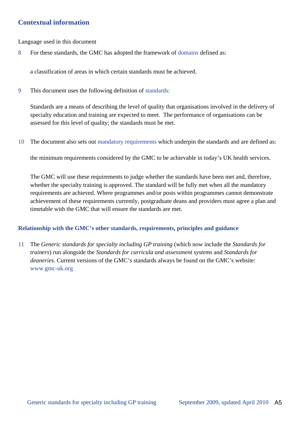# **Contextual information**

Language used in this document

8 For these standards, the GMC has adopted the framework of domains defined as:

a classification of areas in which certain standards must be achieved.

9 This document uses the following definition of standards:

Standards are a means of describing the level of quality that organisations involved in the delivery of specialty education and training are expected to meet. The performance of organisations can be assessed for this level of quality; the standards must be met.

10 The document also sets out mandatory requirements which underpin the standards and are defined as:

the minimum requirements considered by the GMC to be achievable in today's UK health services.

The GMC will use these requirements to judge whether the standards have been met and, therefore, whether the specialty training is approved. The standard will be fully met when all the mandatory requirements are achieved. Where programmes and/or posts within programmes cannot demonstrate achievement of these requirements currently, postgraduate deans and providers must agree a plan and timetable with the GMC that will ensure the standards are met.

## **Relationship with the GMC's other standards, requirements, principles and guidance**

11 The *Generic standards for specialty including GP training* (which now include the *Standards for trainers*) run alongside the *Standards for curricula and assessment systems* and *Standards for deaneries*. Current versions of the GMC's standards always be found on the GMC's website: www.gmc-uk.org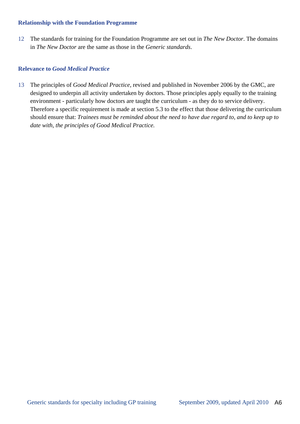### **Relationship with the Foundation Programme**

12 The standards for training for the Foundation Programme are set out in *The New Doctor*. The domains in *The New Doctor* are the same as those in the *Generic standards*.

## **Relevance to** *Good Medical Practice*

13 The principles of *Good Medical Practice,* revised and published in November 2006 by the GMC, are designed to underpin all activity undertaken by doctors. Those principles apply equally to the training environment - particularly how doctors are taught the curriculum - as they do to service delivery. Therefore a specific requirement is made at section 5.3 to the effect that those delivering the curriculum should ensure that: *Trainees must be reminded about the need to have due regard to, and to keep up to date with, the principles of Good Medical Practice.*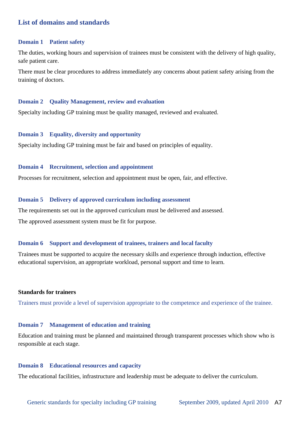# **List of domains and standards**

#### **Domain 1 Patient safety**

The duties, working hours and supervision of trainees must be consistent with the delivery of high quality, safe patient care.

There must be clear procedures to address immediately any concerns about patient safety arising from the training of doctors.

#### **Domain 2 Quality Management, review and evaluation**

Specialty including GP training must be quality managed, reviewed and evaluated.

#### **Domain 3 Equality, diversity and opportunity**

Specialty including GP training must be fair and based on principles of equality.

#### **Domain 4 Recruitment, selection and appointment**

Processes for recruitment, selection and appointment must be open, fair, and effective.

#### **Domain 5 Delivery of approved curriculum including assessment**

The requirements set out in the approved curriculum must be delivered and assessed. The approved assessment system must be fit for purpose.

#### **Domain 6 Support and development of trainees, trainers and local faculty**

Trainees must be supported to acquire the necessary skills and experience through induction, effective educational supervision, an appropriate workload, personal support and time to learn.

#### **Standards for trainers**

Trainers must provide a level of supervision appropriate to the competence and experience of the trainee.

#### **Domain 7 Management of education and training**

Education and training must be planned and maintained through transparent processes which show who is responsible at each stage.

#### **Domain 8 Educational resources and capacity**

The educational facilities, infrastructure and leadership must be adequate to deliver the curriculum.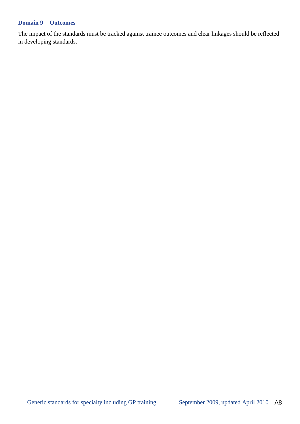## **Domain 9 Outcomes**

The impact of the standards must be tracked against trainee outcomes and clear linkages should be reflected in developing standards.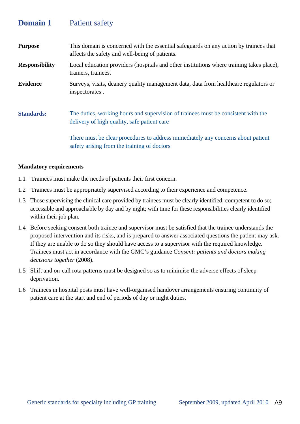# **Domain 1** Patient safety

| <b>Purpose</b>        | This domain is concerned with the essential safeguards on any action by trainees that<br>affects the safety and well-being of patients. |
|-----------------------|-----------------------------------------------------------------------------------------------------------------------------------------|
| <b>Responsibility</b> | Local education providers (hospitals and other institutions where training takes place),<br>trainers, trainees.                         |
| <b>Evidence</b>       | Surveys, visits, deanery quality management data, data from healthcare regulators or<br>inspectorates.                                  |
| <b>Standards:</b>     | The duties, working hours and supervision of trainees must be consistent with the<br>delivery of high quality, safe patient care        |
|                       | There must be clear procedures to address immediately any concerns about patient<br>safety arising from the training of doctors         |

- 1.1 Trainees must make the needs of patients their first concern.
- 1.2 Trainees must be appropriately supervised according to their experience and competence.
- 1.3 Those supervising the clinical care provided by trainees must be clearly identified; competent to do so; accessible and approachable by day and by night; with time for these responsibilities clearly identified within their job plan.
- 1.4 Before seeking consent both trainee and supervisor must be satisfied that the trainee understands the proposed intervention and its risks, and is prepared to answer associated questions the patient may ask. If they are unable to do so they should have access to a supervisor with the required knowledge. Trainees must act in accordance with the GMC's guidance *Consent: patients and doctors making decisions together* (2008).
- 1.5 Shift and on-call rota patterns must be designed so as to minimise the adverse effects of sleep deprivation.
- 1.6 Trainees in hospital posts must have well-organised handover arrangements ensuring continuity of patient care at the start and end of periods of day or night duties.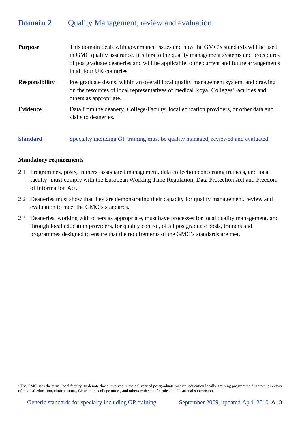# **Domain 2** Quality Management, review and evaluation

| <b>Purpose</b>        | This domain deals with governance issues and how the GMC's standards will be used<br>in GMC quality assurance. It refers to the quality management systems and procedures<br>of postgraduate deaneries and will be applicable to the current and future arrangements<br>in all four UK countries. |
|-----------------------|---------------------------------------------------------------------------------------------------------------------------------------------------------------------------------------------------------------------------------------------------------------------------------------------------|
| <b>Responsibility</b> | Postgraduate deans, within an overall local quality management system, and drawing<br>on the resources of local representatives of medical Royal Colleges/Faculties and<br>others as appropriate.                                                                                                 |
| <b>Evidence</b>       | Data from the deanery, College/Faculty, local education providers, or other data and<br>visits to deaneries.                                                                                                                                                                                      |
| <b>Standard</b>       | Specialty including GP training must be quality managed, reviewed and evaluated.                                                                                                                                                                                                                  |

### **Mandatory requirements**

 $\overline{a}$ 

- 2.1 Programmes, posts, trainers, associated management, data collection concerning trainees, and local faculty<sup>1</sup> must comply with the European Working Time Regulation, Data Protection Act and Freedom of Information Act.
- 2.2 Deaneries must show that they are demonstrating their capacity for quality management, review and evaluation to meet the GMC's standards.
- 2.3 Deaneries, working with others as appropriate, must have processes for local quality management, and through local education providers, for quality control, of all postgraduate posts, trainers and programmes designed to ensure that the requirements of the GMC's standards are met.

<sup>&</sup>lt;sup>1</sup> The GMC uses the term 'local faculty' to denote those involved in the delivery of postgraduate medical education locally; training programme directors, directors of medical education, clinical tutors, GP trainers, college tutors, and others with specific roles in educational supervision.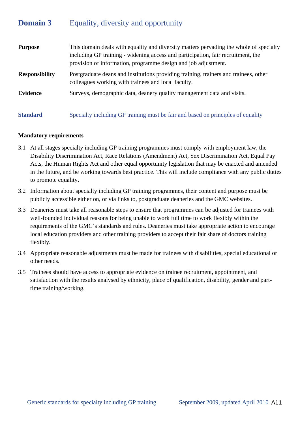# **Domain 3** Equality, diversity and opportunity

| <b>Purpose</b>        | This domain deals with equality and diversity matters pervading the whole of specialty<br>including GP training - widening access and participation, fair recruitment, the<br>provision of information, programme design and job adjustment. |
|-----------------------|----------------------------------------------------------------------------------------------------------------------------------------------------------------------------------------------------------------------------------------------|
| <b>Responsibility</b> | Postgraduate deans and institutions providing training, trainers and trainees, other<br>colleagues working with trainees and local faculty.                                                                                                  |
| <b>Evidence</b>       | Surveys, demographic data, deanery quality management data and visits.                                                                                                                                                                       |
| <b>Standard</b>       | Specialty including GP training must be fair and based on principles of equality                                                                                                                                                             |

- 3.1 At all stages specialty including GP training programmes must comply with employment law, the Disability Discrimination Act, Race Relations (Amendment) Act, Sex Discrimination Act, Equal Pay Acts, the Human Rights Act and other equal opportunity legislation that may be enacted and amended in the future, and be working towards best practice. This will include compliance with any public duties to promote equality.
- 3.2 Information about specialty including GP training programmes, their content and purpose must be publicly accessible either on, or via links to, postgraduate deaneries and the GMC websites.
- 3.3 Deaneries must take all reasonable steps to ensure that programmes can be adjusted for trainees with well-founded individual reasons for being unable to work full time to work flexibly within the requirements of the GMC's standards and rules. Deaneries must take appropriate action to encourage local education providers and other training providers to accept their fair share of doctors training flexibly.
- 3.4 Appropriate reasonable adjustments must be made for trainees with disabilities, special educational or other needs.
- 3.5 Trainees should have access to appropriate evidence on trainee recruitment, appointment, and satisfaction with the results analysed by ethnicity, place of qualification, disability, gender and parttime training/working.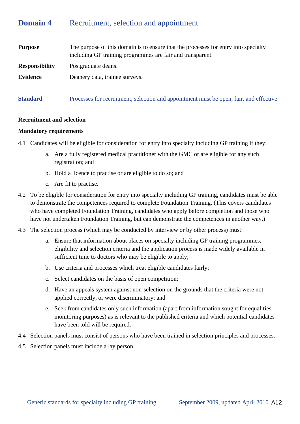# **Domain 4** Recruitment, selection and appointment

| <b>Purpose</b>        | The purpose of this domain is to ensure that the processes for entry into specialty<br>including GP training programmes are fair and transparent. |
|-----------------------|---------------------------------------------------------------------------------------------------------------------------------------------------|
| <b>Responsibility</b> | Postgraduate deans.                                                                                                                               |
| <b>Evidence</b>       | Deanery data, trainee surveys.                                                                                                                    |
| <b>Standard</b>       | Processes for recruitment, selection and appointment must be open, fair, and effective                                                            |

#### **Recruitment and selection**

- 4.1 Candidates will be eligible for consideration for entry into specialty including GP training if they:
	- a. Are a fully registered medical practitioner with the GMC or are eligible for any such registration; and
	- b. Hold a licence to practise or are eligible to do so; and
	- c. Are fit to practise.
- 4.2 To be eligible for consideration for entry into specialty including GP training, candidates must be able to demonstrate the competences required to complete Foundation Training. (This covers candidates who have completed Foundation Training, candidates who apply before completion and those who have not undertaken Foundation Training, but can demonstrate the competences in another way.)
- 4.3 The selection process (which may be conducted by interview or by other process) must:
	- a. Ensure that information about places on specialty including GP training programmes, eligibility and selection criteria and the application process is made widely available in sufficient time to doctors who may be eligible to apply;
	- b. Use criteria and processes which treat eligible candidates fairly;
	- c. Select candidates on the basis of open competition;
	- d. Have an appeals system against non-selection on the grounds that the criteria were not applied correctly, or were discriminatory; and
	- e. Seek from candidates only such information (apart from information sought for equalities monitoring purposes) as is relevant to the published criteria and which potential candidates have been told will be required.
- 4.4 Selection panels must consist of persons who have been trained in selection principles and processes.
- 4.5 Selection panels must include a lay person.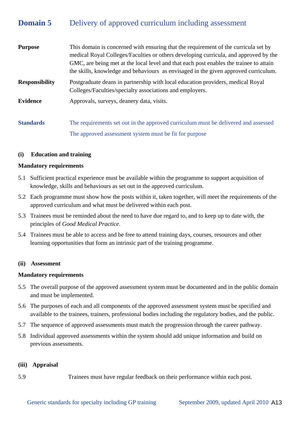# **Domain 5** Delivery of approved curriculum including assessment

| <b>Purpose</b>        | This domain is concerned with ensuring that the requirement of the curricula set by<br>medical Royal Colleges/Faculties or others developing curricula, and approved by the<br>GMC, are being met at the local level and that each post enables the trainee to attain<br>the skills, knowledge and behaviours as envisaged in the given approved curriculum. |
|-----------------------|--------------------------------------------------------------------------------------------------------------------------------------------------------------------------------------------------------------------------------------------------------------------------------------------------------------------------------------------------------------|
| <b>Responsibility</b> | Postgraduate deans in partnership with local education providers, medical Royal<br>Colleges/Faculties/specialty associations and employers.                                                                                                                                                                                                                  |
| <b>Evidence</b>       | Approvals, surveys, deanery data, visits.                                                                                                                                                                                                                                                                                                                    |
| <b>Standards</b>      | The requirements set out in the approved curriculum must be delivered and assessed<br>The approved assessment system must be fit for purpose                                                                                                                                                                                                                 |

### **(i) Education and training**

#### **Mandatory requirements**

- 5.1 Sufficient practical experience must be available within the programme to support acquisition of knowledge, skills and behaviours as set out in the approved curriculum.
- 5.2 Each programme must show how the posts within it, taken together, will meet the requirements of the approved curriculum and what must be delivered within each post.
- 5.3 Trainees must be reminded about the need to have due regard to, and to keep up to date with, the principles of *Good Medical Practice*.
- 5.4 Trainees must be able to access and be free to attend training days, courses, resources and other learning opportunities that form an intrinsic part of the training programme.

#### **(ii) Assessment**

#### **Mandatory requirements**

- 5.5 The overall purpose of the approved assessment system must be documented and in the public domain and must be implemented.
- 5.6 The purposes of each and all components of the approved assessment system must be specified and available to the trainees, trainers, professional bodies including the regulatory bodies, and the public.
- 5.7 The sequence of approved assessments must match the progression through the career pathway.
- 5.8 Individual approved assessments within the system should add unique information and build on previous assessments.

#### **(iii) Appraisal**

5.9 Trainees must have regular feedback on their performance within each post.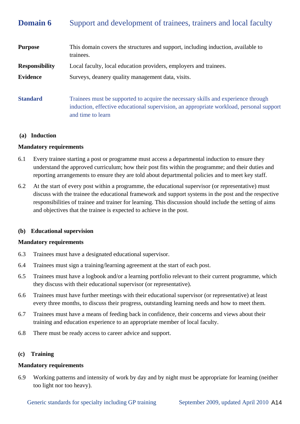# **Domain 6** Support and development of trainees, trainers and local faculty

| <b>Purpose</b>        | This domain covers the structures and support, including induction, available to<br>trainees.                                                                                                     |
|-----------------------|---------------------------------------------------------------------------------------------------------------------------------------------------------------------------------------------------|
| <b>Responsibility</b> | Local faculty, local education providers, employers and trainees.                                                                                                                                 |
| <b>Evidence</b>       | Surveys, deanery quality management data, visits.                                                                                                                                                 |
| <b>Standard</b>       | Trainees must be supported to acquire the necessary skills and experience through<br>induction, effective educational supervision, an appropriate workload, personal support<br>and time to learn |

#### **(a) Induction**

#### **Mandatory requirements**

- 6.1 Every trainee starting a post or programme must access a departmental induction to ensure they understand the approved curriculum; how their post fits within the programme; and their duties and reporting arrangements to ensure they are told about departmental policies and to meet key staff.
- 6.2 At the start of every post within a programme, the educational supervisor (or representative) must discuss with the trainee the educational framework and support systems in the post and the respective responsibilities of trainee and trainer for learning. This discussion should include the setting of aims and objectives that the trainee is expected to achieve in the post.

#### **(b) Educational supervision**

#### **Mandatory requirements**

- 6.3 Trainees must have a designated educational supervisor.
- 6.4 Trainees must sign a training/learning agreement at the start of each post.
- 6.5 Trainees must have a logbook and/or a learning portfolio relevant to their current programme, which they discuss with their educational supervisor (or representative).
- 6.6 Trainees must have further meetings with their educational supervisor (or representative) at least every three months, to discuss their progress, outstanding learning needs and how to meet them.
- 6.7 Trainees must have a means of feeding back in confidence, their concerns and views about their training and education experience to an appropriate member of local faculty.
- 6.8 There must be ready access to career advice and support.

#### **(c) Training**

#### **Mandatory requirements**

6.9 Working patterns and intensity of work by day and by night must be appropriate for learning (neither too light nor too heavy).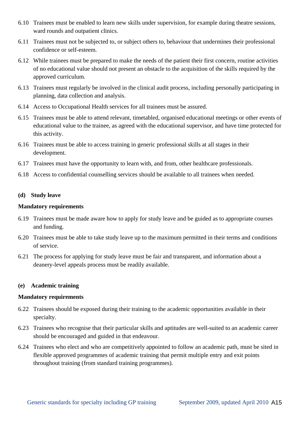- 6.10 Trainees must be enabled to learn new skills under supervision, for example during theatre sessions, ward rounds and outpatient clinics.
- 6.11 Trainees must not be subjected to, or subject others to, behaviour that undermines their professional confidence or self-esteem.
- 6.12 While trainees must be prepared to make the needs of the patient their first concern, routine activities of no educational value should not present an obstacle to the acquisition of the skills required by the approved curriculum.
- 6.13 Trainees must regularly be involved in the clinical audit process, including personally participating in planning, data collection and analysis.
- 6.14 Access to Occupational Health services for all trainees must be assured.
- 6.15 Trainees must be able to attend relevant, timetabled, organised educational meetings or other events of educational value to the trainee, as agreed with the educational supervisor, and have time protected for this activity.
- 6.16 Trainees must be able to access training in generic professional skills at all stages in their development.
- 6.17 Trainees must have the opportunity to learn with, and from, other healthcare professionals.
- 6.18 Access to confidential counselling services should be available to all trainees when needed.

## **(d) Study leave**

## **Mandatory requirements**

- 6.19 Trainees must be made aware how to apply for study leave and be guided as to appropriate courses and funding.
- 6.20 Trainees must be able to take study leave up to the maximum permitted in their terms and conditions of service.
- 6.21 The process for applying for study leave must be fair and transparent, and information about a deanery-level appeals process must be readily available.

### **(e) Academic training**

- 6.22 Trainees should be exposed during their training to the academic opportunities available in their specialty.
- 6.23 Trainees who recognise that their particular skills and aptitudes are well-suited to an academic career should be encouraged and guided in that endeavour.
- 6.24 Trainees who elect and who are competitively appointed to follow an academic path, must be sited in flexible approved programmes of academic training that permit multiple entry and exit points throughout training (from standard training programmes).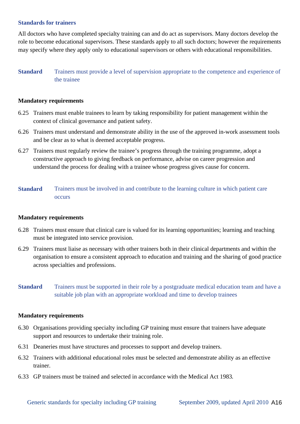#### **Standards for trainers**

All doctors who have completed specialty training can and do act as supervisors. Many doctors develop the role to become educational supervisors. These standards apply to all such doctors; however the requirements may specify where they apply only to educational supervisors or others with educational responsibilities.

## **Standard** Trainers must provide a level of supervision appropriate to the competence and experience of the trainee

#### **Mandatory requirements**

- 6.25 Trainers must enable trainees to learn by taking responsibility for patient management within the context of clinical governance and patient safety.
- 6.26 Trainers must understand and demonstrate ability in the use of the approved in-work assessment tools and be clear as to what is deemed acceptable progress.
- 6.27 Trainers must regularly review the trainee's progress through the training programme, adopt a constructive approach to giving feedback on performance, advise on career progression and understand the process for dealing with a trainee whose progress gives cause for concern.
- **Standard** Trainers must be involved in and contribute to the learning culture in which patient care occurs

#### **Mandatory requirements**

- 6.28 Trainers must ensure that clinical care is valued for its learning opportunities; learning and teaching must be integrated into service provision.
- 6.29 Trainers must liaise as necessary with other trainers both in their clinical departments and within the organisation to ensure a consistent approach to education and training and the sharing of good practice across specialties and professions.
- **Standard** Trainers must be supported in their role by a postgraduate medical education team and have a suitable job plan with an appropriate workload and time to develop trainees

- 6.30 Organisations providing specialty including GP training must ensure that trainers have adequate support and resources to undertake their training role.
- 6.31 Deaneries must have structures and processes to support and develop trainers.
- 6.32 Trainers with additional educational roles must be selected and demonstrate ability as an effective trainer.
- 6.33 GP trainers must be trained and selected in accordance with the Medical Act 1983*.*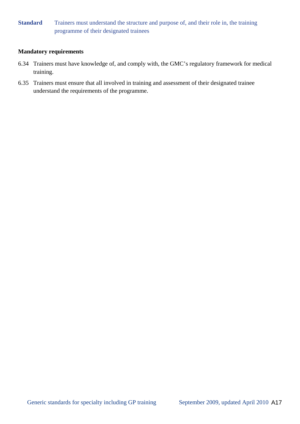## **Standard** Trainers must understand the structure and purpose of, and their role in, the training programme of their designated trainees

- 6.34 Trainers must have knowledge of, and comply with, the GMC's regulatory framework for medical training.
- 6.35 Trainers must ensure that all involved in training and assessment of their designated trainee understand the requirements of the programme.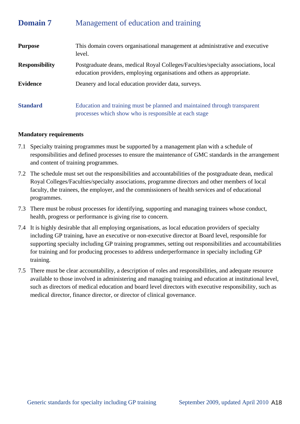# **Domain 7** Management of education and training

| <b>Purpose</b>        | This domain covers organisational management at administrative and executive<br>level.                                                                        |
|-----------------------|---------------------------------------------------------------------------------------------------------------------------------------------------------------|
| <b>Responsibility</b> | Postgraduate deans, medical Royal Colleges/Faculties/specialty associations, local<br>education providers, employing organisations and others as appropriate. |
| <b>Evidence</b>       | Deanery and local education provider data, surveys.                                                                                                           |
| <b>Standard</b>       | Education and training must be planned and maintained through transparent<br>processes which show who is responsible at each stage                            |

- 7.1 Specialty training programmes must be supported by a management plan with a schedule of responsibilities and defined processes to ensure the maintenance of GMC standards in the arrangement and content of training programmes.
- 7.2 The schedule must set out the responsibilities and accountabilities of the postgraduate dean, medical Royal Colleges/Faculties/specialty associations, programme directors and other members of local faculty, the trainees, the employer, and the commissioners of health services and of educational programmes.
- 7.3 There must be robust processes for identifying, supporting and managing trainees whose conduct, health, progress or performance is giving rise to concern.
- 7.4 It is highly desirable that all employing organisations, as local education providers of specialty including GP training, have an executive or non-executive director at Board level, responsible for supporting specialty including GP training programmes, setting out responsibilities and accountabilities for training and for producing processes to address underperformance in specialty including GP training.
- 7.5 There must be clear accountability, a description of roles and responsibilities, and adequate resource available to those involved in administering and managing training and education at institutional level, such as directors of medical education and board level directors with executive responsibility, such as medical director, finance director, or director of clinical governance.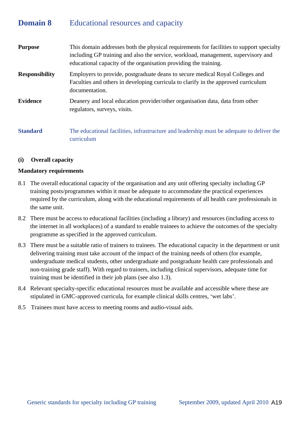# **Domain 8** Educational resources and capacity

| <b>Purpose</b>        | This domain addresses both the physical requirements for facilities to support specialty<br>including GP training and also the service, workload, management, supervisory and<br>educational capacity of the organisation providing the training. |
|-----------------------|---------------------------------------------------------------------------------------------------------------------------------------------------------------------------------------------------------------------------------------------------|
| <b>Responsibility</b> | Employers to provide, postgraduate deans to secure medical Royal Colleges and<br>Faculties and others in developing curricula to clarify in the approved curriculum<br>documentation.                                                             |
| <b>Evidence</b>       | Deanery and local education provider/other organisation data, data from other<br>regulators, surveys, visits.                                                                                                                                     |
| <b>Standard</b>       | The educational facilities, infrastructure and leadership must be adequate to deliver the<br>curriculum                                                                                                                                           |

### **(i) Overall capacity**

- 8.1 The overall educational capacity of the organisation and any unit offering specialty including GP training posts/programmes within it must be adequate to accommodate the practical experiences required by the curriculum, along with the educational requirements of all health care professionals in the same unit.
- 8.2 There must be access to educational facilities (including a library) and resources (including access to the internet in all workplaces) of a standard to enable trainees to achieve the outcomes of the specialty programme as specified in the approved curriculum.
- 8.3 There must be a suitable ratio of trainers to trainees. The educational capacity in the department or unit delivering training must take account of the impact of the training needs of others (for example, undergraduate medical students, other undergraduate and postgraduate health care professionals and non-training grade staff). With regard to trainers, including clinical supervisors, adequate time for training must be identified in their job plans (see also 1.3).
- 8.4 Relevant specialty-specific educational resources must be available and accessible where these are stipulated in GMC-approved curricula, for example clinical skills centres, 'wet labs'.
- 8.5 Trainees must have access to meeting rooms and audio-visual aids.